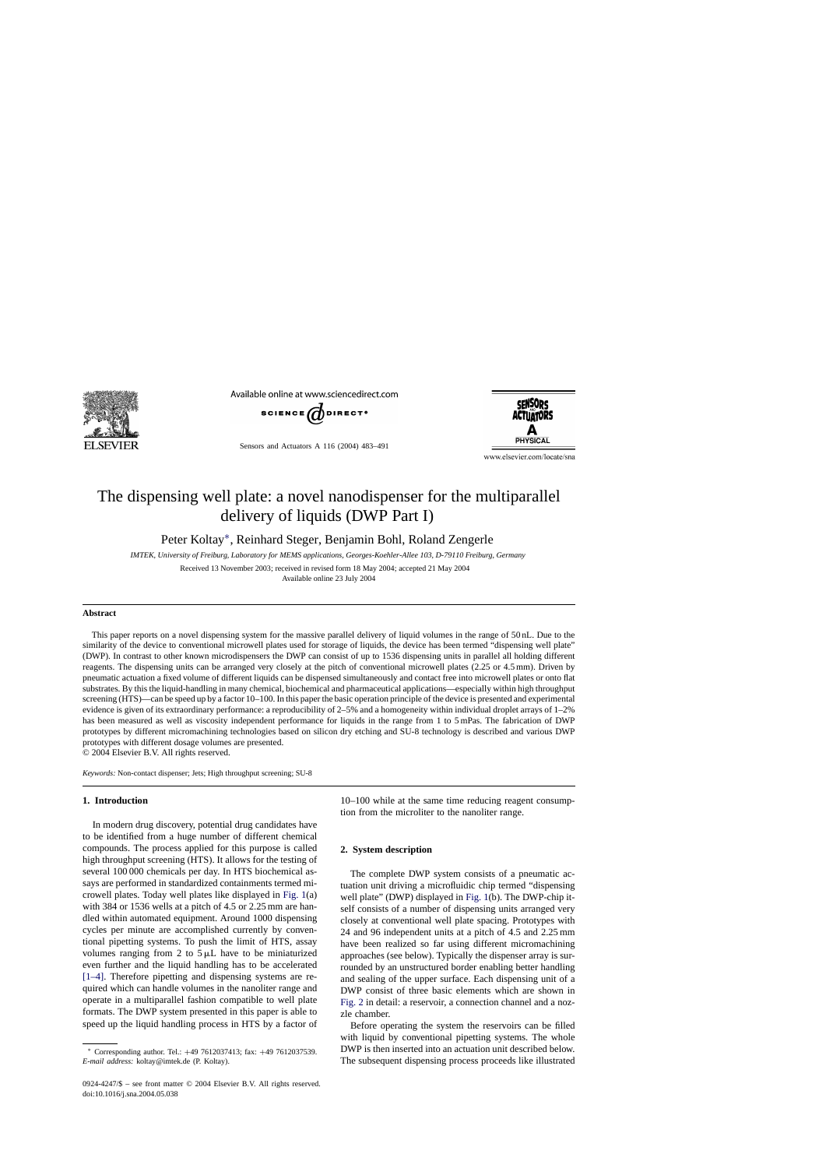

Available online at www.sciencedirect.com



Sensors and Actuators A 116 (2004) 483–491



www.elsevier.com/locate/sna

# The dispensing well plate: a novel nanodispenser for the multiparallel delivery of liquids (DWP Part I)

Peter Koltay∗, Reinhard Steger, Benjamin Bohl, Roland Zengerle

*IMTEK, University of Freiburg, Laboratory for MEMS applications, Georges-Koehler-Allee 103, D-79110 Freiburg, Germany*

Received 13 November 2003; received in revised form 18 May 2004; accepted 21 May 2004 Available online 23 July 2004

#### **Abstract**

This paper reports on a novel dispensing system for the massive parallel delivery of liquid volumes in the range of 50 nL. Due to the similarity of the device to conventional microwell plates used for storage of liquids, the device has been termed "dispensing well plate" (DWP). In contrast to other known microdispensers the DWP can consist of up to 1536 dispensing units in parallel all holding different reagents. The dispensing units can be arranged very closely at the pitch of conventional microwell plates (2.25 or 4.5 mm). Driven by pneumatic actuation a fixed volume of different liquids can be dispensed simultaneously and contact free into microwell plates or onto flat substrates. By this the liquid-handling in many chemical, biochemical and pharmaceutical applications—especially within high throughput screening (HTS)—can be speed up by a factor 10–100. In this paper the basic operation principle of the device is presented and experimental evidence is given of its extraordinary performance: a reproducibility of 2–5% and a homogeneity within individual droplet arrays of 1–2% has been measured as well as viscosity independent performance for liquids in the range from 1 to 5 mPas. The fabrication of DWP prototypes by different micromachining technologies based on silicon dry etching and SU-8 technology is described and various DWP prototypes with different dosage volumes are presented.

© 2004 Elsevier B.V. All rights reserved.

*Keywords:* Non-contact dispenser; Jets; High throughput screening; SU-8

## **1. Introduction**

In modern drug discovery, potential drug candidates have to be identified from a huge number of different chemical compounds. The process applied for this purpose is called high throughput screening (HTS). It allows for the testing of several 100 000 chemicals per day. In HTS biochemical assays are performed in standardized containments termed microwell plates. Today well plates like displayed in [Fig. 1\(a](#page-1-0)) with 384 or 1536 wells at a pitch of 4.5 or 2.25 mm are handled within automated equipment. Around 1000 dispensing cycles per minute are accomplished currently by conventional pipetting systems. To push the limit of HTS, assay volumes ranging from 2 to  $5 \mu L$  have to be miniaturized even further and the liquid handling has to be accelerated [\[1–4\].](#page-8-0) Therefore pipetting and dispensing systems are required which can handle volumes in the nanoliter range and operate in a multiparallel fashion compatible to well plate formats. The DWP system presented in this paper is able to speed up the liquid handling process in HTS by a factor of 10–100 while at the same time reducing reagent consumption from the microliter to the nanoliter range.

#### **2. System description**

The complete DWP system consists of a pneumatic actuation unit driving a microfluidic chip termed "dispensing well plate" (DWP) displayed in [Fig. 1\(b](#page-1-0)). The DWP-chip itself consists of a number of dispensing units arranged very closely at conventional well plate spacing. Prototypes with 24 and 96 independent units at a pitch of 4.5 and 2.25 mm have been realized so far using different micromachining approaches (see below). Typically the dispenser array is surrounded by an unstructured border enabling better handling and sealing of the upper surface. Each dispensing unit of a DWP consist of three basic elements which are shown in [Fig. 2](#page-1-0) in detail: a reservoir, a connection channel and a nozzle chamber.

Before operating the system the reservoirs can be filled with liquid by conventional pipetting systems. The whole DWP is then inserted into an actuation unit described below. The subsequent dispensing process proceeds like illustrated

<sup>∗</sup> Corresponding author. Tel.: +49 7612037413; fax: +49 7612037539. *E-mail address:* koltay@imtek.de (P. Koltay).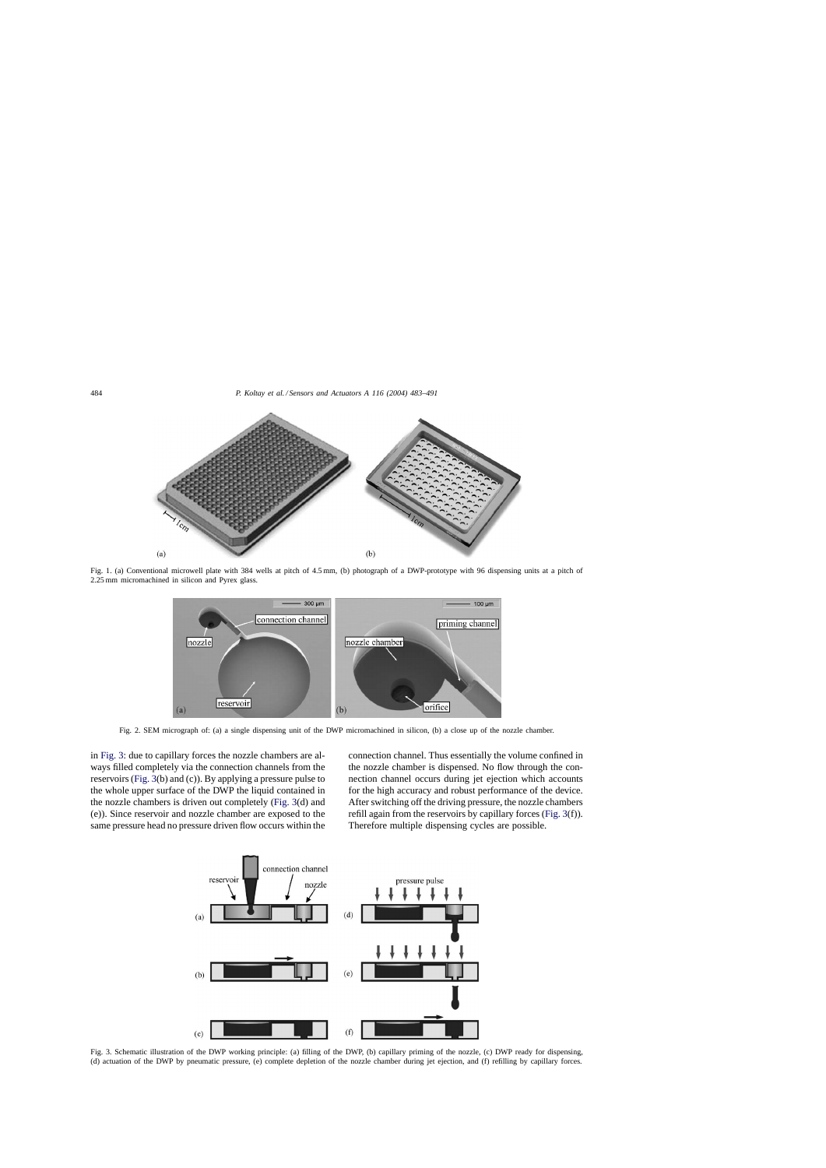<span id="page-1-0"></span>

Fig. 1. (a) Conventional microwell plate with 384 wells at pitch of 4.5 mm, (b) photograph of a DWP-prototype with 96 dispensing units at a pitch of 2.25 mm micromachined in silicon and Pyrex glass.



Fig. 2. SEM micrograph of: (a) a single dispensing unit of the DWP micromachined in silicon, (b) a close up of the nozzle chamber.

in Fig. 3: due to capillary forces the nozzle chambers are always filled completely via the connection channels from the reservoirs (Fig. 3(b) and (c)). By applying a pressure pulse to the whole upper surface of the DWP the liquid contained in the nozzle chambers is driven out completely (Fig. 3(d) and (e)). Since reservoir and nozzle chamber are exposed to the same pressure head no pressure driven flow occurs within the connection channel. Thus essentially the volume confined in the nozzle chamber is dispensed. No flow through the connection channel occurs during jet ejection which accounts for the high accuracy and robust performance of the device. After switching off the driving pressure, the nozzle chambers refill again from the reservoirs by capillary forces (Fig. 3(f)). Therefore multiple dispensing cycles are possible.



Fig. 3. Schematic illustration of the DWP working principle: (a) filling of the DWP, (b) capillary priming of the nozzle, (c) DWP ready for dispensing, (d) actuation of the DWP by pneumatic pressure, (e) complete depletion of the nozzle chamber during jet ejection, and (f) refilling by capillary forces.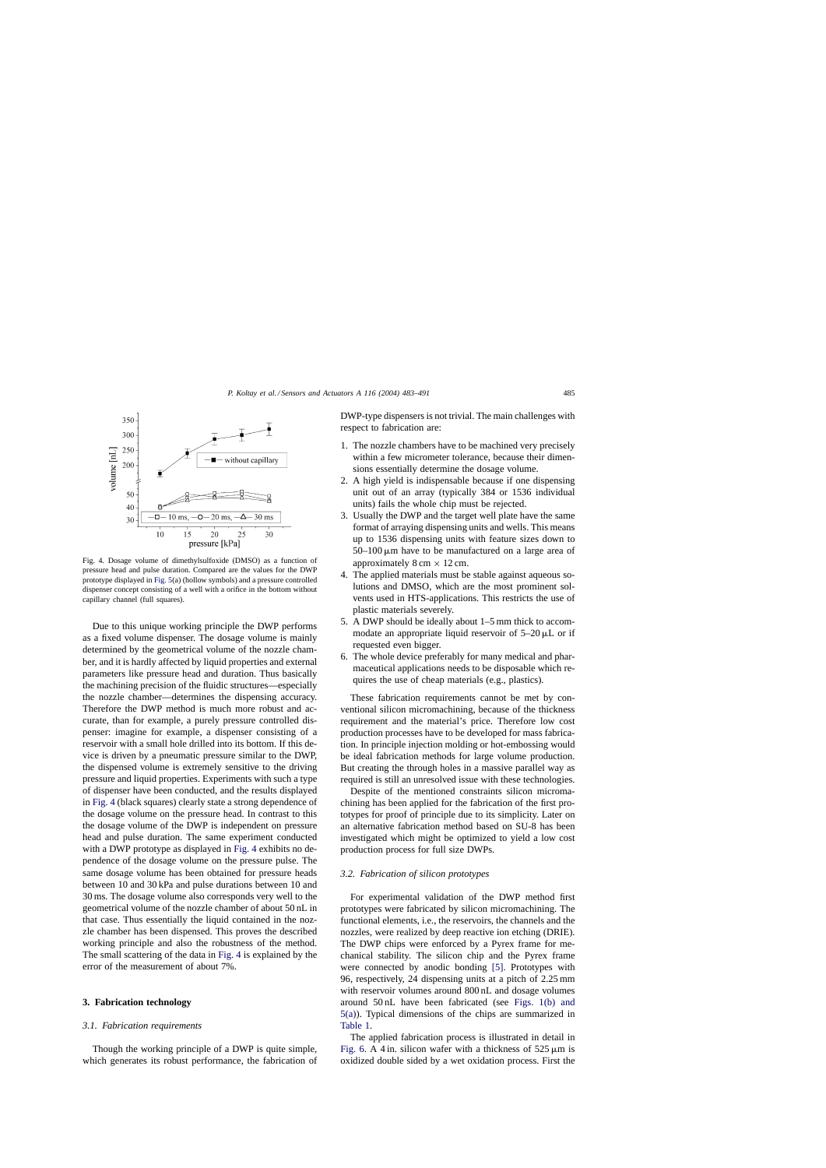<span id="page-2-0"></span>

Fig. 4. Dosage volume of dimethylsulfoxide (DMSO) as a function of pressure head and pulse duration. Compared are the values for the DWP prototype displayed in [Fig. 5\(a\)](#page-3-0) (hollow symbols) and a pressure controlled dispenser concept consisting of a well with a orifice in the bottom without capillary channel (full squares).

Due to this unique working principle the DWP performs as a fixed volume dispenser. The dosage volume is mainly determined by the geometrical volume of the nozzle chamber, and it is hardly affected by liquid properties and external parameters like pressure head and duration. Thus basically the machining precision of the fluidic structures—especially the nozzle chamber—determines the dispensing accuracy. Therefore the DWP method is much more robust and accurate, than for example, a purely pressure controlled dispenser: imagine for example, a dispenser consisting of a reservoir with a small hole drilled into its bottom. If this device is driven by a pneumatic pressure similar to the DWP, the dispensed volume is extremely sensitive to the driving pressure and liquid properties. Experiments with such a type of dispenser have been conducted, and the results displayed in Fig. 4 (black squares) clearly state a strong dependence of the dosage volume on the pressure head. In contrast to this the dosage volume of the DWP is independent on pressure head and pulse duration. The same experiment conducted with a DWP prototype as displayed in Fig. 4 exhibits no dependence of the dosage volume on the pressure pulse. The same dosage volume has been obtained for pressure heads between 10 and 30 kPa and pulse durations between 10 and 30 ms. The dosage volume also corresponds very well to the geometrical volume of the nozzle chamber of about 50 nL in that case. Thus essentially the liquid contained in the nozzle chamber has been dispensed. This proves the described working principle and also the robustness of the method. The small scattering of the data in Fig. 4 is explained by the error of the measurement of about 7%.

#### **3. Fabrication technology**

#### *3.1. Fabrication requirements*

Though the working principle of a DWP is quite simple, which generates its robust performance, the fabrication of DWP-type dispensers is not trivial. The main challenges with respect to fabrication are:

- 1. The nozzle chambers have to be machined very precisely within a few micrometer tolerance, because their dimensions essentially determine the dosage volume.
- 2. A high yield is indispensable because if one dispensing unit out of an array (typically 384 or 1536 individual units) fails the whole chip must be rejected.
- 3. Usually the DWP and the target well plate have the same format of arraying dispensing units and wells. This means up to 1536 dispensing units with feature sizes down to  $50-100 \mu m$  have to be manufactured on a large area of approximately  $8 \text{ cm} \times 12 \text{ cm}$ .
- 4. The applied materials must be stable against aqueous solutions and DMSO, which are the most prominent solvents used in HTS-applications. This restricts the use of plastic materials severely.
- 5. A DWP should be ideally about 1–5 mm thick to accommodate an appropriate liquid reservoir of  $5-20 \mu L$  or if requested even bigger.
- 6. The whole device preferably for many medical and pharmaceutical applications needs to be disposable which requires the use of cheap materials (e.g., plastics).

These fabrication requirements cannot be met by conventional silicon micromachining, because of the thickness requirement and the material's price. Therefore low cost production processes have to be developed for mass fabrication. In principle injection molding or hot-embossing would be ideal fabrication methods for large volume production. But creating the through holes in a massive parallel way as required is still an unresolved issue with these technologies.

Despite of the mentioned constraints silicon micromachining has been applied for the fabrication of the first prototypes for proof of principle due to its simplicity. Later on an alternative fabrication method based on SU-8 has been investigated which might be optimized to yield a low cost production process for full size DWPs.

## *3.2. Fabrication of silicon prototypes*

For experimental validation of the DWP method first prototypes were fabricated by silicon micromachining. The functional elements, i.e., the reservoirs, the channels and the nozzles, were realized by deep reactive ion etching (DRIE). The DWP chips were enforced by a Pyrex frame for mechanical stability. The silicon chip and the Pyrex frame were connected by anodic bonding [\[5\].](#page-8-0) Prototypes with 96, respectively, 24 dispensing units at a pitch of 2.25 mm with reservoir volumes around 800 nL and dosage volumes around 50 nL have been fabricated (see [Figs. 1\(b\) and](#page-1-0) [5\(a\)\).](#page-1-0) Typical dimensions of the chips are summarized in [Table 1.](#page-3-0)

The applied fabrication process is illustrated in detail in [Fig. 6.](#page-3-0) A 4 in. silicon wafer with a thickness of  $525 \mu m$  is oxidized double sided by a wet oxidation process. First the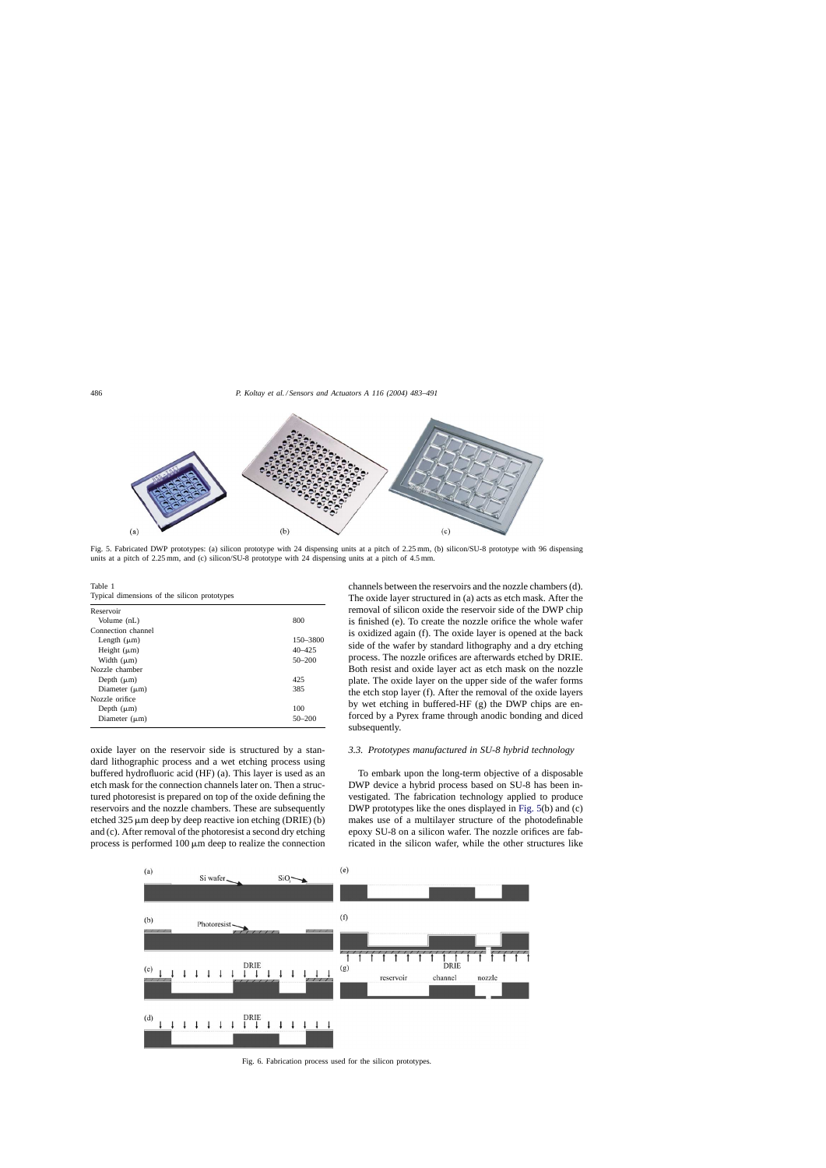<span id="page-3-0"></span>

Fig. 5. Fabricated DWP prototypes: (a) silicon prototype with 24 dispensing units at a pitch of 2.25 mm, (b) silicon/SU-8 prototype with 96 dispensing units at a pitch of 2.25 mm, and (c) silicon/SU-8 prototype with 24 dispensing units at a pitch of 4.5 mm.

Table 1 Typical dimensions of the silicon prototypes

| Reservoir          |            |
|--------------------|------------|
| Volume (nL)        | 800        |
| Connection channel |            |
| Length $(\mu m)$   | 150-3800   |
| Height $(\mu m)$   | $40 - 425$ |
| Width $(\mu m)$    | $50 - 200$ |
| Nozzle chamber     |            |
| Depth $(\mu m)$    | 425        |
| Diameter $(\mu m)$ | 385        |
| Nozzle orifice     |            |
| Depth $(\mu m)$    | 100        |
| Diameter $(\mu m)$ | $50 - 200$ |
|                    |            |

oxide layer on the reservoir side is structured by a standard lithographic process and a wet etching process using buffered hydrofluoric acid (HF) (a). This layer is used as an etch mask for the connection channels later on. Then a structured photoresist is prepared on top of the oxide defining the reservoirs and the nozzle chambers. These are subsequently etched  $325 \mu m$  deep by deep reactive ion etching (DRIE) (b) and (c). After removal of the photoresist a second dry etching process is performed  $100 \mu m$  deep to realize the connection

channels between the reservoirs and the nozzle chambers (d). The oxide layer structured in (a) acts as etch mask. After the removal of silicon oxide the reservoir side of the DWP chip is finished (e). To create the nozzle orifice the whole wafer is oxidized again (f). The oxide layer is opened at the back side of the wafer by standard lithography and a dry etching process. The nozzle orifices are afterwards etched by DRIE. Both resist and oxide layer act as etch mask on the nozzle plate. The oxide layer on the upper side of the wafer forms the etch stop layer (f). After the removal of the oxide layers by wet etching in buffered-HF (g) the DWP chips are enforced by a Pyrex frame through anodic bonding and diced subsequently.

### *3.3. Prototypes manufactured in SU-8 hybrid technology*

To embark upon the long-term objective of a disposable DWP device a hybrid process based on SU-8 has been investigated. The fabrication technology applied to produce DWP prototypes like the ones displayed in Fig. 5(b) and (c) makes use of a multilayer structure of the photodefinable epoxy SU-8 on a silicon wafer. The nozzle orifices are fabricated in the silicon wafer, while the other structures like



Fig. 6. Fabrication process used for the silicon prototypes.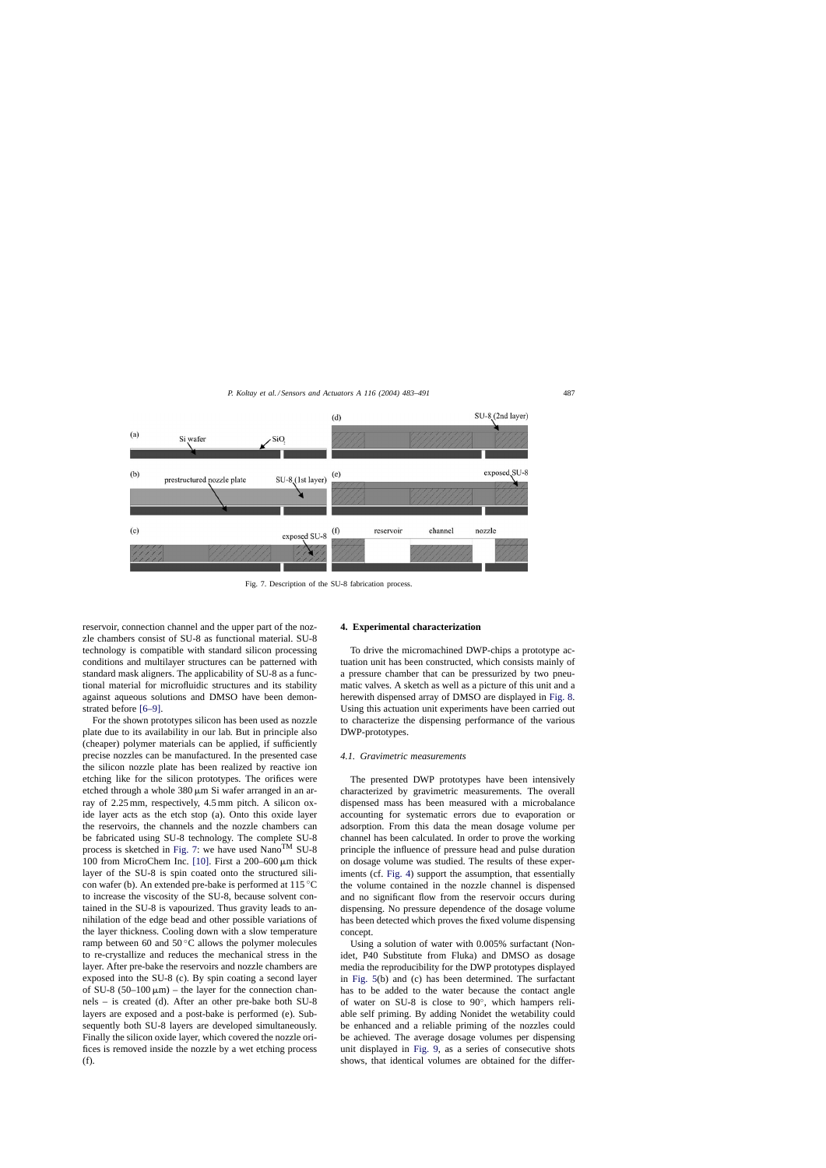

Fig. 7. Description of the SU-8 fabrication process.

reservoir, connection channel and the upper part of the nozzle chambers consist of SU-8 as functional material. SU-8 technology is compatible with standard silicon processing conditions and multilayer structures can be patterned with standard mask aligners. The applicability of SU-8 as a functional material for microfluidic structures and its stability against aqueous solutions and DMSO have been demonstrated before [\[6–9\].](#page-8-0)

For the shown prototypes silicon has been used as nozzle plate due to its availability in our lab. But in principle also (cheaper) polymer materials can be applied, if sufficiently precise nozzles can be manufactured. In the presented case the silicon nozzle plate has been realized by reactive ion etching like for the silicon prototypes. The orifices were etched through a whole  $380 \,\mu m$  Si wafer arranged in an array of 2.25 mm, respectively, 4.5 mm pitch. A silicon oxide layer acts as the etch stop (a). Onto this oxide layer the reservoirs, the channels and the nozzle chambers can be fabricated using SU-8 technology. The complete SU-8 process is sketched in Fig. 7: we have used NanoTM SU-8 100 from MicroChem Inc. [\[10\].](#page-8-0) First a  $200-600 \,\mu m$  thick layer of the SU-8 is spin coated onto the structured silicon wafer (b). An extended pre-bake is performed at 115 ◦C to increase the viscosity of the SU-8, because solvent contained in the SU-8 is vapourized. Thus gravity leads to annihilation of the edge bead and other possible variations of the layer thickness. Cooling down with a slow temperature ramp between 60 and  $50^{\circ}$ C allows the polymer molecules to re-crystallize and reduces the mechanical stress in the layer. After pre-bake the reservoirs and nozzle chambers are exposed into the SU-8 (c). By spin coating a second layer of SU-8 (50–100  $\mu$ m) – the layer for the connection channels – is created (d). After an other pre-bake both SU-8 layers are exposed and a post-bake is performed (e). Subsequently both SU-8 layers are developed simultaneously. Finally the silicon oxide layer, which covered the nozzle orifices is removed inside the nozzle by a wet etching process (f).

## **4. Experimental characterization**

To drive the micromachined DWP-chips a prototype actuation unit has been constructed, which consists mainly of a pressure chamber that can be pressurized by two pneumatic valves. A sketch as well as a picture of this unit and a herewith dispensed array of DMSO are displayed in [Fig. 8.](#page-5-0) Using this actuation unit experiments have been carried out to characterize the dispensing performance of the various DWP-prototypes.

## *4.1. Gravimetric measurements*

The presented DWP prototypes have been intensively characterized by gravimetric measurements. The overall dispensed mass has been measured with a microbalance accounting for systematic errors due to evaporation or adsorption. From this data the mean dosage volume per channel has been calculated. In order to prove the working principle the influence of pressure head and pulse duration on dosage volume was studied. The results of these experiments (cf. [Fig. 4\)](#page-2-0) support the assumption, that essentially the volume contained in the nozzle channel is dispensed and no significant flow from the reservoir occurs during dispensing. No pressure dependence of the dosage volume has been detected which proves the fixed volume dispensing concept.

Using a solution of water with 0.005% surfactant (Nonidet, P40 Substitute from Fluka) and DMSO as dosage media the reproducibility for the DWP prototypes displayed in [Fig. 5\(b](#page-3-0)) and (c) has been determined. The surfactant has to be added to the water because the contact angle of water on SU-8 is close to 90◦, which hampers reliable self priming. By adding Nonidet the wetability could be enhanced and a reliable priming of the nozzles could be achieved. The average dosage volumes per dispensing unit displayed in [Fig. 9,](#page-5-0) as a series of consecutive shots shows, that identical volumes are obtained for the differ-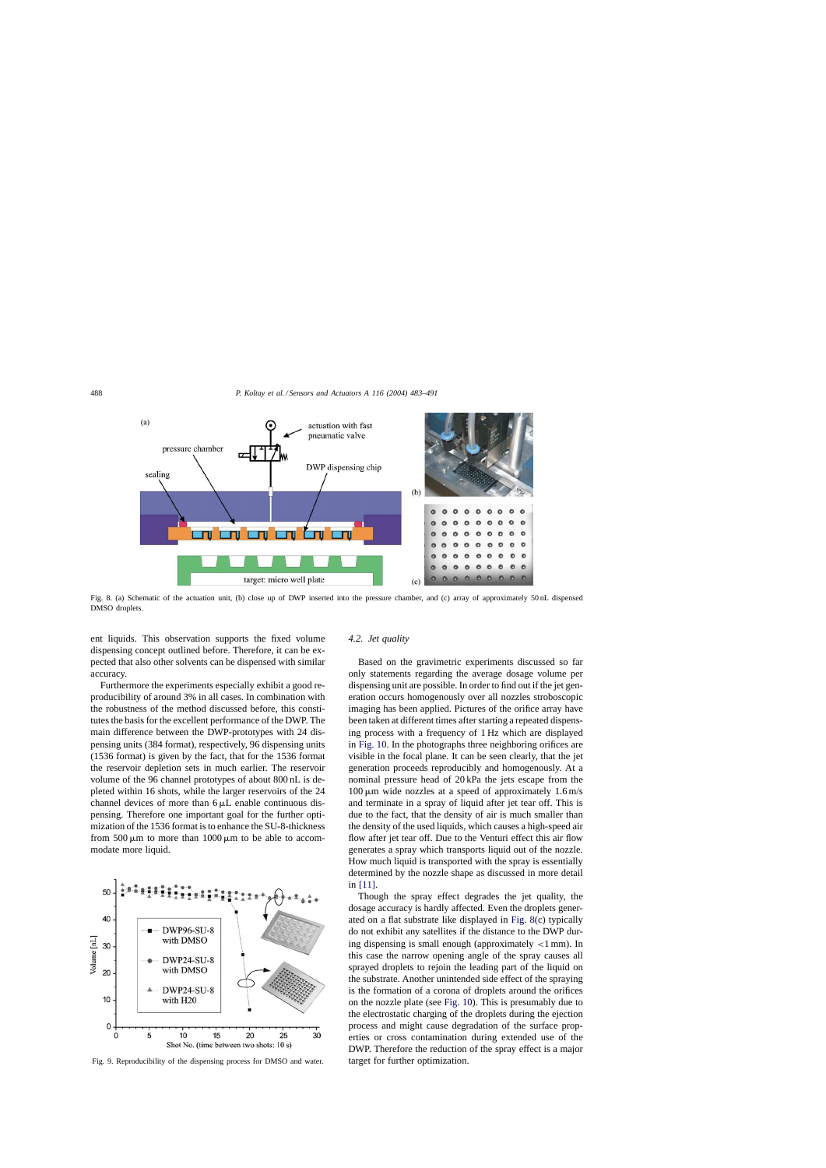<span id="page-5-0"></span>

Fig. 8. (a) Schematic of the actuation unit, (b) close up of DWP inserted into the pressure chamber, and (c) array of approximately 50 nL dispensed DMSO droplets.

ent liquids. This observation supports the fixed volume dispensing concept outlined before. Therefore, it can be expected that also other solvents can be dispensed with similar accuracy.

Furthermore the experiments especially exhibit a good reproducibility of around 3% in all cases. In combination with the robustness of the method discussed before, this constitutes the basis for the excellent performance of the DWP. The main difference between the DWP-prototypes with 24 dispensing units (384 format), respectively, 96 dispensing units (1536 format) is given by the fact, that for the 1536 format the reservoir depletion sets in much earlier. The reservoir volume of the 96 channel prototypes of about 800 nL is depleted within 16 shots, while the larger reservoirs of the 24 channel devices of more than  $6 \mu L$  enable continuous dispensing. Therefore one important goal for the further optimization of the 1536 format is to enhance the SU-8-thickness from 500  $\mu$ m to more than 1000  $\mu$ m to be able to accommodate more liquid.



Fig. 9. Reproducibility of the dispensing process for DMSO and water.

## *4.2. Jet quality*

Based on the gravimetric experiments discussed so far only statements regarding the average dosage volume per dispensing unit are possible. In order to find out if the jet generation occurs homogenously over all nozzles stroboscopic imaging has been applied. Pictures of the orifice array have been taken at different times after starting a repeated dispensing process with a frequency of 1 Hz which are displayed in [Fig. 10. I](#page-6-0)n the photographs three neighboring orifices are visible in the focal plane. It can be seen clearly, that the jet generation proceeds reproducibly and homogenously. At a nominal pressure head of 20 kPa the jets escape from the  $100 \mu m$  wide nozzles at a speed of approximately 1.6 m/s and terminate in a spray of liquid after jet tear off. This is due to the fact, that the density of air is much smaller than the density of the used liquids, which causes a high-speed air flow after jet tear off. Due to the Venturi effect this air flow generates a spray which transports liquid out of the nozzle. How much liquid is transported with the spray is essentially determined by the nozzle shape as discussed in more detail in [\[11\].](#page-8-0)

Though the spray effect degrades the jet quality, the dosage accuracy is hardly affected. Even the droplets generated on a flat substrate like displayed in Fig. 8(c) typically do not exhibit any satellites if the distance to the DWP during dispensing is small enough (approximately  $<$ 1 mm). In this case the narrow opening angle of the spray causes all sprayed droplets to rejoin the leading part of the liquid on the substrate. Another unintended side effect of the spraying is the formation of a corona of droplets around the orifices on the nozzle plate (see [Fig. 10\).](#page-6-0) This is presumably due to the electrostatic charging of the droplets during the ejection process and might cause degradation of the surface properties or cross contamination during extended use of the DWP. Therefore the reduction of the spray effect is a major target for further optimization.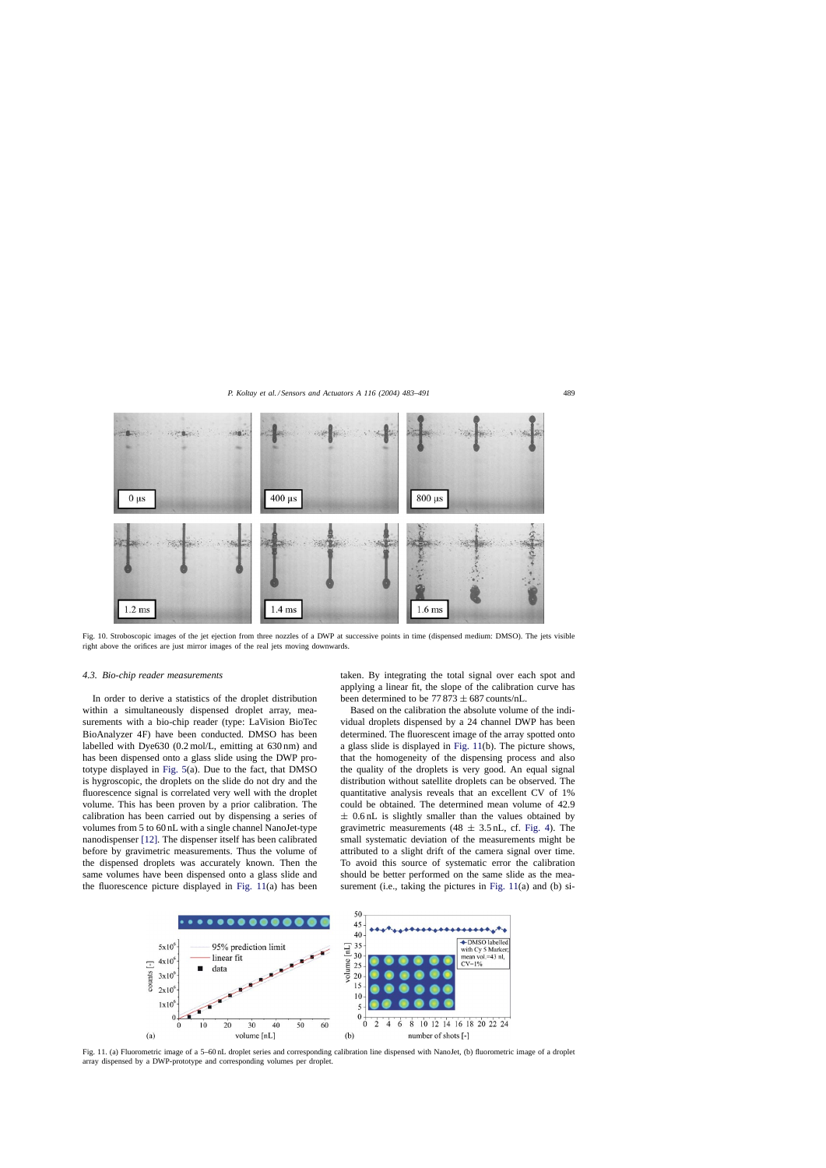<span id="page-6-0"></span>

Fig. 10. Stroboscopic images of the jet ejection from three nozzles of a DWP at successive points in time (dispensed medium: DMSO). The jets visible right above the orifices are just mirror images of the real jets moving downwards.

#### *4.3. Bio-chip reader measurements*

In order to derive a statistics of the droplet distribution within a simultaneously dispensed droplet array, measurements with a bio-chip reader (type: LaVision BioTec BioAnalyzer 4F) have been conducted. DMSO has been labelled with Dye630 (0.2 mol/L, emitting at 630 nm) and has been dispensed onto a glass slide using the DWP prototype displayed in [Fig. 5\(a](#page-3-0)). Due to the fact, that DMSO is hygroscopic, the droplets on the slide do not dry and the fluorescence signal is correlated very well with the droplet volume. This has been proven by a prior calibration. The calibration has been carried out by dispensing a series of volumes from 5 to 60 nL with a single channel NanoJet-type nanodispenser [\[12\]. T](#page-8-0)he dispenser itself has been calibrated before by gravimetric measurements. Thus the volume of the dispensed droplets was accurately known. Then the same volumes have been dispensed onto a glass slide and the fluorescence picture displayed in Fig. 11(a) has been

taken. By integrating the total signal over each spot and applying a linear fit, the slope of the calibration curve has been determined to be  $77873 \pm 687$  counts/nL.

Based on the calibration the absolute volume of the individual droplets dispensed by a 24 channel DWP has been determined. The fluorescent image of the array spotted onto a glass slide is displayed in Fig. 11(b). The picture shows, that the homogeneity of the dispensing process and also the quality of the droplets is very good. An equal signal distribution without satellite droplets can be observed. The quantitative analysis reveals that an excellent CV of 1% could be obtained. The determined mean volume of 42.9  $\pm$  0.6 nL is slightly smaller than the values obtained by gravimetric measurements  $(48 \pm 3.5 \text{ nL}, \text{cf. Fig. 4})$ . The small systematic deviation of the measurements might be attributed to a slight drift of the camera signal over time. To avoid this source of systematic error the calibration should be better performed on the same slide as the measurement (i.e., taking the pictures in Fig. 11(a) and (b) si-



Fig. 11. (a) Fluorometric image of a 5–60 nL droplet series and corresponding calibration line dispensed with NanoJet, (b) fluorometric image of a droplet array dispensed by a DWP-prototype and corresponding volumes per droplet.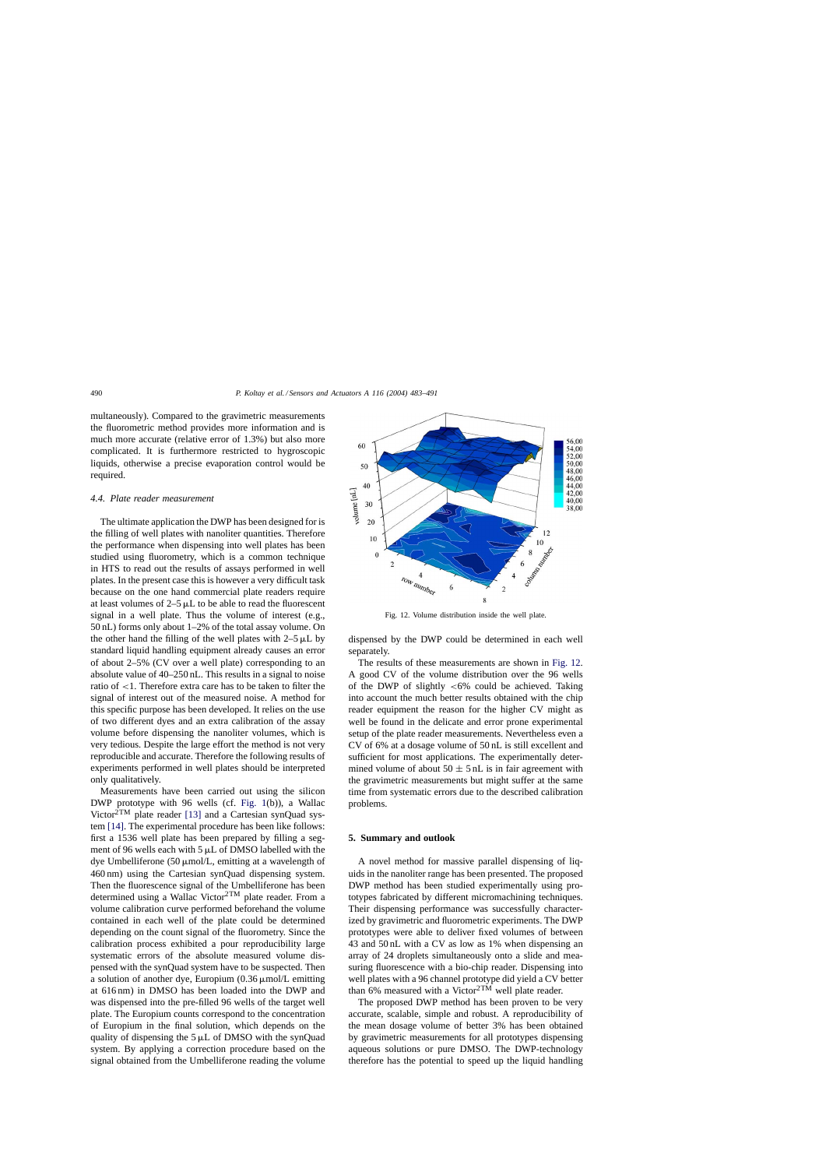multaneously). Compared to the gravimetric measurements the fluorometric method provides more information and is much more accurate (relative error of 1.3%) but also more complicated. It is furthermore restricted to hygroscopic liquids, otherwise a precise evaporation control would be required.

#### *4.4. Plate reader measurement*

The ultimate application the DWP has been designed for is the filling of well plates with nanoliter quantities. Therefore the performance when dispensing into well plates has been studied using fluorometry, which is a common technique in HTS to read out the results of assays performed in well plates. In the present case this is however a very difficult task because on the one hand commercial plate readers require at least volumes of  $2-5$   $\mu$ L to be able to read the fluorescent signal in a well plate. Thus the volume of interest (e.g., 50 nL) forms only about 1–2% of the total assay volume. On the other hand the filling of the well plates with  $2-5 \mu L$  by standard liquid handling equipment already causes an error of about 2–5% (CV over a well plate) corresponding to an absolute value of 40–250 nL. This results in a signal to noise ratio of <1. Therefore extra care has to be taken to filter the signal of interest out of the measured noise. A method for this specific purpose has been developed. It relies on the use of two different dyes and an extra calibration of the assay volume before dispensing the nanoliter volumes, which is very tedious. Despite the large effort the method is not very reproducible and accurate. Therefore the following results of experiments performed in well plates should be interpreted only qualitatively.

Measurements have been carried out using the silicon DWP prototype with 96 wells (cf. [Fig. 1\(](#page-1-0)b)), a Wallac Victor<sup>2TM</sup> plate reader [\[13\]](#page-8-0) and a Cartesian synQuad system [\[14\].](#page-8-0) The experimental procedure has been like follows: first a 1536 well plate has been prepared by filling a segment of 96 wells each with  $5 \mu L$  of DMSO labelled with the dye Umbelliferone (50  $\mu$ mol/L, emitting at a wavelength of 460 nm) using the Cartesian synQuad dispensing system. Then the fluorescence signal of the Umbelliferone has been determined using a Wallac Victor<sup>2TM</sup> plate reader. From a volume calibration curve performed beforehand the volume contained in each well of the plate could be determined depending on the count signal of the fluorometry. Since the calibration process exhibited a pour reproducibility large systematic errors of the absolute measured volume dispensed with the synQuad system have to be suspected. Then a solution of another dye, Europium  $(0.36 \mu \text{mol/L} \text{ emitting})$ at 616 nm) in DMSO has been loaded into the DWP and was dispensed into the pre-filled 96 wells of the target well plate. The Europium counts correspond to the concentration of Europium in the final solution, which depends on the quality of dispensing the  $5 \mu L$  of DMSO with the synQuad system. By applying a correction procedure based on the signal obtained from the Umbelliferone reading the volume



Fig. 12. Volume distribution inside the well plate.

dispensed by the DWP could be determined in each well separately.

The results of these measurements are shown in Fig. 12. A good CV of the volume distribution over the 96 wells of the DWP of slightly  $<6\%$  could be achieved. Taking into account the much better results obtained with the chip reader equipment the reason for the higher CV might as well be found in the delicate and error prone experimental setup of the plate reader measurements. Nevertheless even a CV of 6% at a dosage volume of 50 nL is still excellent and sufficient for most applications. The experimentally determined volume of about  $50 \pm 5$  nL is in fair agreement with the gravimetric measurements but might suffer at the same time from systematic errors due to the described calibration problems.

### **5. Summary and outlook**

A novel method for massive parallel dispensing of liquids in the nanoliter range has been presented. The proposed DWP method has been studied experimentally using prototypes fabricated by different micromachining techniques. Their dispensing performance was successfully characterized by gravimetric and fluorometric experiments. The DWP prototypes were able to deliver fixed volumes of between 43 and 50 nL with a CV as low as 1% when dispensing an array of 24 droplets simultaneously onto a slide and measuring fluorescence with a bio-chip reader. Dispensing into well plates with a 96 channel prototype did yield a CV better than 6% measured with a Victor $2TM$  well plate reader.

The proposed DWP method has been proven to be very accurate, scalable, simple and robust. A reproducibility of the mean dosage volume of better 3% has been obtained by gravimetric measurements for all prototypes dispensing aqueous solutions or pure DMSO. The DWP-technology therefore has the potential to speed up the liquid handling